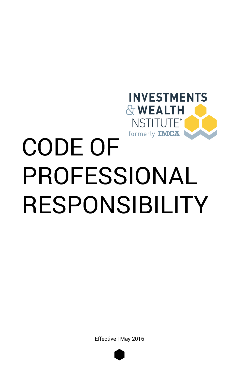

Effective | May 2016

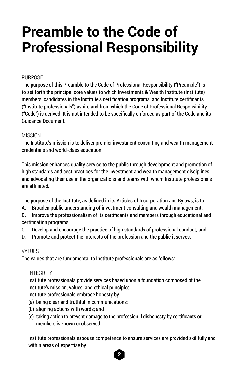# **Preamble to the Code of Professional Responsibility**

# **PURPOSE**

The purpose of this Preamble to the Code of Professional Responsibility ("Preamble") is to set forth the principal core values to which Investments & Wealth Institute (Institute) members, candidates in the Institute's certification programs, and Institute certificants ("Institute professionals") aspire and from which the Code of Professional Responsibility ("Code") is derived. It is not intended to be specifically enforced as part of the Code and its Guidance Document.

### MISSION

The Institute's mission is to deliver premier investment consulting and wealth management credentials and world-class education.

This mission enhances quality service to the public through development and promotion of high standards and best practices for the investment and wealth management disciplines and advocating their use in the organizations and teams with whom Institute professionals are affiliated.

The purpose of the Institute, as defined in its Articles of Incorporation and Bylaws, is to:

A. Broaden public understanding of investment consulting and wealth management;

B. Improve the professionalism of its certificants and members through educational and certification programs;

- C. Develop and encourage the practice of high standards of professional conduct; and
- D. Promote and protect the interests of the profession and the public it serves.

# VALUES

The values that are fundamental to Institute professionals are as follows:

1. INTEGRITY

Institute professionals provide services based upon a foundation composed of the Institute's mission, values, and ethical principles.

Institute professionals embrace honesty by

- (a) being clear and truthful in communications;
- (b) aligning actions with words; and
- (c) taking action to prevent damage to the profession if dishonesty by certificants or members is known or observed.

Institute professionals espouse competence to ensure services are provided skillfully and within areas of expertise by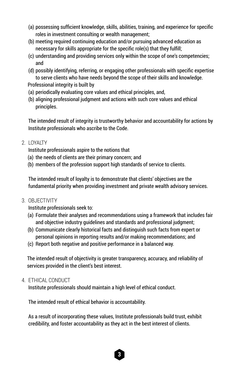- (a) possessing sufficient knowledge, skills, abilities, training, and experience for specific roles in investment consulting or wealth management;
- (b) meeting required continuing education and/or pursuing advanced education as necessary for skills appropriate for the specific role(s) that they fulfill;
- (c) understanding and providing services only within the scope of one's competencies; and
- (d) possibly identifying, referring, or engaging other professionals with specific expertise to serve clients who have needs beyond the scope of their skills and knowledge.
- Professional integrity is built by
- (a) periodically evaluating core values and ethical principles, and,
- (b) aligning professional judgment and actions with such core values and ethical principles.

The intended result of integrity is trustworthy behavior and accountability for actions by Institute professionals who ascribe to the Code.

2. LOYALTY

Institute professionals aspire to the notions that

- (a) the needs of clients are their primary concern; and
- (b) members of the profession support high standards of service to clients.

The intended result of loyalty is to demonstrate that clients' objectives are the fundamental priority when providing investment and private wealth advisory services.

3. OBJECTIVITY

Institute professionals seek to:

- (a) Formulate their analyses and recommendations using a framework that includes fair and objective industry guidelines and standards and professional judgment;
- (b) Communicate clearly historical facts and distinguish such facts from expert or personal opinions in reporting results and/or making recommendations; and
- (c) Report both negative and positive performance in a balanced way.

The intended result of objectivity is greater transparency, accuracy, and reliability of services provided in the client's best interest.

# 4. ETHICAL CONDUCT

Institute professionals should maintain a high level of ethical conduct.

The intended result of ethical behavior is accountability.

As a result of incorporating these values, Institute professionals build trust, exhibit credibility, and foster accountability as they act in the best interest of clients.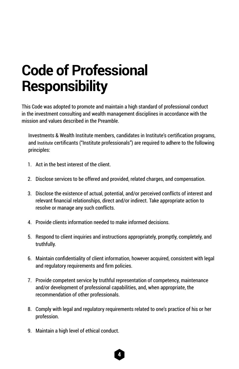# **Code of Professional Responsibility**

This Code was adopted to promote and maintain a high standard of professional conduct in the investment consulting and wealth management disciplines in accordance with the mission and values described in the Preamble.

Investments & Wealth Institute members, candidates in Institute's certification programs, and Institute certificants ("Institute professionals") are required to adhere to the following principles:

- 1. Act in the best interest of the client.
- 2. Disclose services to be offered and provided, related charges, and compensation.
- 3. Disclose the existence of actual, potential, and/or perceived conflicts of interest and relevant financial relationships, direct and/or indirect. Take appropriate action to resolve or manage any such conflicts.
- 4. Provide clients information needed to make informed decisions.
- 5. Respond to client inquiries and instructions appropriately, promptly, completely, and truthfully.
- 6. Maintain confidentiality of client information, however acquired, consistent with legal and regulatory requirements and firm policies.
- 7. Provide competent service by truthful representation of competency, maintenance and/or development of professional capabilities, and, when appropriate, the recommendation of other professionals.
- 8. Comply with legal and regulatory requirements related to one's practice of his or her profession.
- 9. Maintain a high level of ethical conduct.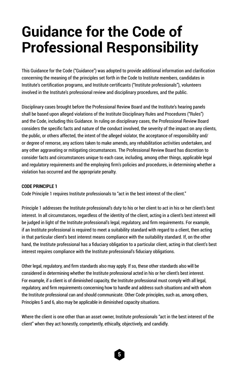# **Guidance for the Code of Professional Responsibility**

This Guidance for the Code ("Guidance") was adopted to provide additional information and clarification concerning the meaning of the principles set forth in the Code to Institute members, candidates in Institute's certification programs, and Institute certificants ("Institute professionals"), volunteers involved in the Institute's professional review and disciplinary procedures, and the public.

Disciplinary cases brought before the Professional Review Board and the Institute's hearing panels shall be based upon alleged violations of the Institute Disciplinary Rules and Procedures ("Rules") and the Code, including this Guidance. In ruling on disciplinary cases, the Professional Review Board considers the specific facts and nature of the conduct involved, the severity of the impact on any clients, the public, or others affected, the intent of the alleged violator, the acceptance of responsibility and/ or degree of remorse, any actions taken to make amends, any rehabilitation activities undertaken, and any other aggravating or mitigating circumstances. The Professional Review Board has discretion to consider facts and circumstances unique to each case, including, among other things, applicable legal and regulatory requirements and the employing firm's policies and procedures, in determining whether a violation has occurred and the appropriate penalty.

#### **CODE PRINCIPLE 1**

Code Principle 1 requires Institute professionals to "act in the best interest of the client."

Principle 1 addresses the Institute professional's duty to his or her client to act in his or her client's best interest. In all circumstances, regardless of the identity of the client, acting in a client's best interest will be judged in light of the Institute professional's legal, regulatory, and firm requirements. For example, if an Institute professional is required to meet a suitability standard with regard to a client, then acting in that particular client's best interest means compliance with the suitability standard. If, on the other hand, the Institute professional has a fiduciary obligation to a particular client, acting in that client's best interest requires compliance with the Institute professional's fiduciary obligations.

Other legal, regulatory, and firm standards also may apply. If so, these other standards also will be considered in determining whether the Institute professional acted in his or her client's best interest. For example, if a client is of diminished capacity, the Institute professional must comply with all legal, regulatory, and firm requirements concerning how to handle and address such situations and with whom the Institute professional can and should communicate. Other Code principles, such as, among others, Principles 5 and 6, also may be applicable in diminished capacity situations.

Where the client is one other than an asset owner, Institute professionals "act in the best interest of the client" when they act honestly, competently, ethically, objectively, and candidly.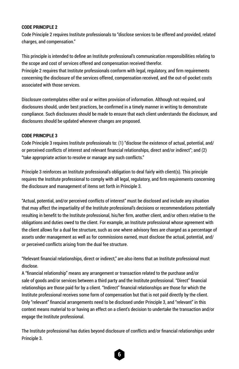#### **CODE PRINCIPLE 2**

Code Principle 2 requires Institute professionals to "disclose services to be offered and provided, related charges, and compensation."

This principle is intended to define an Institute professional's communication responsibilities relating to the scope and cost of services offered and compensation received therefor.

Principle 2 requires that Institute professionals conform with legal, regulatory, and firm requirements concerning the disclosure of the services offered, compensation received, and the out-of-pocket costs associated with those services.

Disclosure contemplates either oral or written provision of information. Although not required, oral disclosures should, under best practices, be confirmed in a timely manner in writing to demonstrate compliance. Such disclosures should be made to ensure that each client understands the disclosure, and disclosures should be updated whenever changes are proposed.

#### **CODE PRINCIPLE 3**

Code Principle 3 requires Institute professionals to: (1) "disclose the existence of actual, potential, and/ or perceived conflicts of interest and relevant financial relationships, direct and/or indirect"; and (2) "take appropriate action to resolve or manage any such conflicts."

Principle 3 reinforces an Institute professional's obligation to deal fairly with client(s). This principle requires the Institute professional to comply with all legal, regulatory, and firm requirements concerning the disclosure and management of items set forth in Principle 3.

"Actual, potential, and/or perceived conflicts of interest" must be disclosed and include any situation that may affect the impartiality of the Institute professional's decisions or recommendations potentially resulting in benefit to the Institute professional, his/her firm, another client, and/or others relative to the obligations and duties owed to the client. For example, an Institute professional whose agreement with the client allows for a dual fee structure, such as one where advisory fees are charged as a percentage of assets under management as well as for commissions earned, must disclose the actual, potential, and/ or perceived conflicts arising from the dual fee structure.

"Relevant financial relationships, direct or indirect," are also items that an Institute professional must disclose.

A "financial relationship" means any arrangement or transaction related to the purchase and/or sale of goods and/or services between a third party and the Institute professional. "Direct" financial relationships are those paid for by a client. "Indirect" financial relationships are those for which the Institute professional receives some form of compensation but that is not paid directly by the client. Only "relevant" financial arrangements need to be disclosed under Principle 3, and "relevant" in this context means material to or having an effect on a client's decision to undertake the transaction and/or engage the Institute professional.

The Institute professional has duties beyond disclosure of conflicts and/or financial relationships under Principle 3.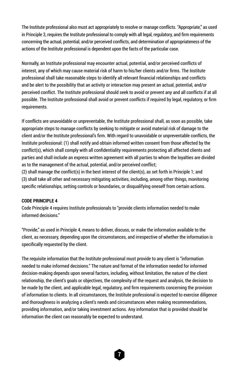The Institute professional also must act appropriately to resolve or manage conflicts. "Appropriate," as used in Principle 3, requires the Institute professional to comply with all legal, regulatory, and firm requirements concerning the actual, potential, and/or perceived conflicts, and determination of appropriateness of the actions of the Institute professional is dependent upon the facts of the particular case.

Normally, an Institute professional may encounter actual, potential, and/or perceived conflicts of interest, any of which may cause material risk of harm to his/her clients and/or firms. The Institute professional shall take reasonable steps to identify all relevant financial relationships and conflicts and be alert to the possibility that an activity or interaction may present an actual, potential, and/or perceived conflict. The Institute professional should seek to avoid or prevent any and all conflicts if at all possible. The Institute professional shall avoid or prevent conflicts if required by legal, regulatory, or firm requirements.

If conflicts are unavoidable or unpreventable, the Institute professional shall, as soon as possible, take appropriate steps to manage conflicts by seeking to mitigate or avoid material risk of damage to the client and/or the Institute professional's firm. With regard to unavoidable or unpreventable conflicts, the Institute professional: (1) shall notify and obtain informed written consent from those affected by the conflict(s), which shall comply with all confidentiality requirements protecting all affected clients and parties and shall include an express written agreement with all parties to whom the loyalties are divided as to the management of the actual, potential, and/or perceived conflict;

(2) shall manage the conflict(s) in the best interest of the client(s), as set forth in Principle 1; and (3) shall take all other and necessary mitigating activities, including, among other things, monitoring specific relationships, setting controls or boundaries, or disqualifying oneself from certain actions.

#### **CODE PRINCIPLE 4**

Code Principle 4 requires Institute professionals to "provide clients information needed to make informed decisions."

"Provide," as used in Principle 4, means to deliver, discuss, or make the information available to the client, as necessary, depending upon the circumstances, and irrespective of whether the information is specifically requested by the client.

The requisite information that the Institute professional must provide to any client is "information needed to make informed decisions." The nature and format of the information needed for informed decision-making depends upon several factors, including, without limitation, the nature of the client relationship, the client's goals or objectives, the complexity of the request and analysis, the decision to be made by the client, and applicable legal, regulatory, and firm requirements concerning the provision of information to clients. In all circumstances, the Institute professional is expected to exercise diligence and thoroughness in analyzing a client's needs and circumstances when making recommendations, providing information, and/or taking investment actions. Any information that is provided should be information the client can reasonably be expected to understand.

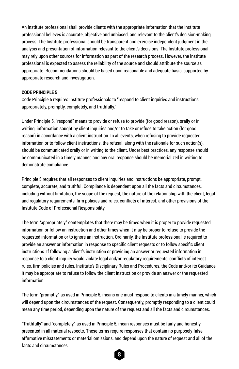An Institute professional shall provide clients with the appropriate information that the Institute professional believes is accurate, objective and unbiased, and relevant to the client's decision-making process. The Institute professional should be transparent and exercise independent judgment in the analysis and presentation of information relevant to the client's decisions. The Institute professional may rely upon other sources for information as part of the research process. However, the Institute professional is expected to assess the reliability of the source and should attribute the source as appropriate. Recommendations should be based upon reasonable and adequate basis, supported by appropriate research and investigation.

#### **CODE PRINCIPLE 5**

Code Principle 5 requires Institute professionals to "respond to client inquiries and instructions appropriately, promptly, completely, and truthfully."

Under Principle 5, "respond" means to provide or refuse to provide (for good reason), orally or in writing, information sought by client inquiries and/or to take or refuse to take action (for good reason) in accordance with a client instruction. In all events, when refusing to provide requested information or to follow client instructions, the refusal, along with the rationale for such action(s), should be communicated orally or in writing to the client. Under best practices, any response should be communicated in a timely manner, and any oral response should be memorialized in writing to demonstrate compliance.

Principle 5 requires that all responses to client inquiries and instructions be appropriate, prompt, complete, accurate, and truthful. Compliance is dependent upon all the facts and circumstances, including without limitation, the scope of the request, the nature of the relationship with the client, legal and regulatory requirements, firm policies and rules, conflicts of interest, and other provisions of the Institute Code of Professional Responsibility.

The term "appropriately" contemplates that there may be times when it is proper to provide requested information or follow an instruction and other times when it may be proper to refuse to provide the requested information or to ignore an instruction. Ordinarily, the Institute professional is required to provide an answer or information in response to specific client requests or to follow specific client instructions. If following a client's instruction or providing an answer or requested information in response to a client inquiry would violate legal and/or regulatory requirements, conflicts of interest rules, firm policies and rules, Institute's Disciplinary Rules and Procedures, the Code and/or its Guidance, it may be appropriate to refuse to follow the client instruction or provide an answer or the requested information.

The term "promptly," as used in Principle 5, means one must respond to clients in a timely manner, which will depend upon the circumstances of the request. Consequently, promptly responding to a client could mean any time period, depending upon the nature of the request and all the facts and circumstances.

"Truthfully" and "completely," as used in Principle 5, mean responses must be fairly and honestly presented in all material respects. These terms require responses that contain no purposely false affirmative misstatements or material omissions, and depend upon the nature of request and all of the facts and circumstances.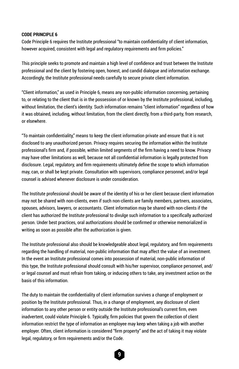#### **CODE PRINCIPLE 6**

Code Principle 6 requires the Institute professional "to maintain confidentiality of client information, however acquired, consistent with legal and regulatory requirements and firm policies."

This principle seeks to promote and maintain a high level of confidence and trust between the Institute professional and the client by fostering open, honest, and candid dialogue and information exchange. Accordingly, the Institute professional needs carefully to secure private client information.

"Client information," as used in Principle 6, means any non-public information concerning, pertaining to, or relating to the client that is in the possession of or known by the Institute professional, including, without limitation, the client's identity. Such information remains "client information" regardless of how it was obtained, including, without limitation, from the client directly, from a third-party, from research, or elsewhere.

"To maintain confidentiality," means to keep the client information private and ensure that it is not disclosed to any unauthorized person. Privacy requires securing the information within the Institute professional's firm and, if possible, within limited segments of the firm having a need to know. Privacy may have other limitations as well, because not all confidential information is legally protected from disclosure. Legal, regulatory, and firm requirements ultimately define the scope to which information may, can, or shall be kept private. Consultation with supervisors, compliance personnel, and/or legal counsel is advised whenever disclosure is under consideration.

The Institute professional should be aware of the identity of his or her client because client information may not be shared with non-clients, even if such non-clients are family members, partners, associates, spouses, advisors, lawyers, or accountants. Client information may be shared with non-clients if the client has authorized the Institute professional to divulge such information to a specifically authorized person. Under best practices, oral authorizations should be confirmed or otherwise memorialized in writing as soon as possible after the authorization is given.

The Institute professional also should be knowledgeable about legal, regulatory, and firm requirements regarding the handling of material, non-public information that may affect the value of an investment. In the event an Institute professional comes into possession of material, non-public information of this type, the Institute professional should consult with his/her supervisor, compliance personnel, and/ or legal counsel and must refrain from taking, or inducing others to take, any investment action on the basis of this information.

The duty to maintain the confidentiality of client information survives a change of employment or position by the Institute professional. Thus, in a change of employment, any disclosure of client information to any other person or entity outside the Institute professional's current firm, even inadvertent, could violate Principle 6. Typically, firm policies that govern the collection of client information restrict the type of information an employee may keep when taking a job with another employer. Often, client information is considered "firm property" and the act of taking it may violate legal, regulatory, or firm requirements and/or the Code.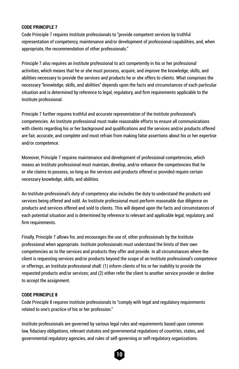#### **CODE PRINCIPLE 7**

Code Principle 7 requires Institute professionals to "provide competent services by truthful representation of competency, maintenance and/or development of professional capabilities, and, when appropriate, the recommendation of other professionals."

Principle 7 also requires an Institute professional to act competently in his or her professional activities, which means that he or she must possess, acquire, and improve the knowledge, skills, and abilities necessary to provide the services and products he or she offers to clients. What comprises the necessary "knowledge, skills, and abilities" depends upon the facts and circumstances of each particular situation and is determined by reference to legal, regulatory, and firm requirements applicable to the Institute professional.

Principle 7 further requires truthful and accurate representation of the Institute professional's competencies. An Institute professional must make reasonable efforts to ensure all communications with clients regarding his or her background and qualifications and the services and/or products offered are fair, accurate, and complete and must refrain from making false assertions about his or her expertise and/or competence.

Moreover, Principle 7 requires maintenance and development of professional competencies, which means an Institute professional must maintain, develop, and/or enhance the competencies that he or she claims to possess, so long as the services and products offered or provided require certain necessary knowledge, skills, and abilities.

An Institute professional's duty of competency also includes the duty to understand the products and services being offered and sold. An Institute professional must perform reasonable due diligence on products and services offered and sold to clients. This will depend upon the facts and circumstances of each potential situation and is determined by reference to relevant and applicable legal, regulatory, and firm requirements.

Finally, Principle 7 allows for, and encourages the use of, other professionals by the Institute professional when appropriate. Institute professionals must understand the limits of their own competencies as to the services and products they offer and provide. In all circumstances where the client is requesting services and/or products beyond the scope of an Institute professional's competence or offerings, an Institute professional shall: (1) inform clients of his or her inability to provide the requested products and/or services; and (2) either refer the client to another service provider or decline to accept the assignment.

#### **CODE PRINCIPLE 8**

Code Principle 8 requires Institute professionals to "comply with legal and regulatory requirements related to one's practice of his or her profession."

Institute professionals are governed by various legal rules and requirements based upon common law, fiduciary obligations, relevant statutes and governmental regulations of countries, states, and governmental regulatory agencies, and rules of self-governing or self-regulatory organizations.

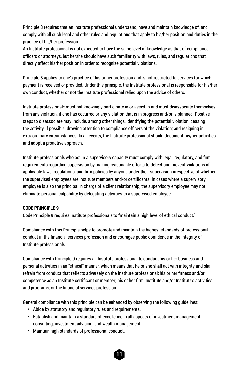Principle 8 requires that an Institute professional understand, have and maintain knowledge of, and comply with all such legal and other rules and regulations that apply to his/her position and duties in the practice of his/her profession.

An Institute professional is not expected to have the same level of knowledge as that of compliance officers or attorneys, but he/she should have such familiarity with laws, rules, and regulations that directly affect his/her position in order to recognize potential violations.

Principle 8 applies to one's practice of his or her profession and is not restricted to services for which payment is received or provided. Under this principle, the Institute professional is responsible for his/her own conduct, whether or not the Institute professional relied upon the advice of others.

Institute professionals must not knowingly participate in or assist in and must disassociate themselves from any violation, if one has occurred or any violation that is in progress and/or is planned. Positive steps to disassociate may include, among other things, identifying the potential violation; ceasing the activity, if possible; drawing attention to compliance officers of the violation; and resigning in extraordinary circumstances. In all events, the Institute professional should document his/her activities and adopt a proactive approach.

Institute professionals who act in a supervisory capacity must comply with legal, regulatory, and firm requirements regarding supervision by making reasonable efforts to detect and prevent violations of applicable laws, regulations, and firm policies by anyone under their supervision irrespective of whether the supervised employees are Institute members and/or certificants. In cases where a supervisory employee is also the principal in charge of a client relationship, the supervisory employee may not eliminate personal culpability by delegating activities to a supervised employee.

#### **CODE PRINCIPLE 9**

Code Principle 9 requires Institute professionals to "maintain a high level of ethical conduct."

Compliance with this Principle helps to promote and maintain the highest standards of professional conduct in the financial services profession and encourages public confidence in the integrity of Institute professionals.

Compliance with Principle 9 requires an Institute professional to conduct his or her business and personal activities in an "ethical" manner, which means that he or she shall act with integrity and shall refrain from conduct that reflects adversely on the Institute professional; his or her fitness and/or competence as an Institute certificant or member; his or her firm; Institute and/or Institute's activities and programs; or the financial services profession.

General compliance with this principle can be enhanced by observing the following guidelines:

- Abide by statutory and regulatory rules and requirements.
- Establish and maintain a standard of excellence in all aspects of investment management consulting, investment advising, and wealth management.

**11**

• Maintain high standards of professional conduct.